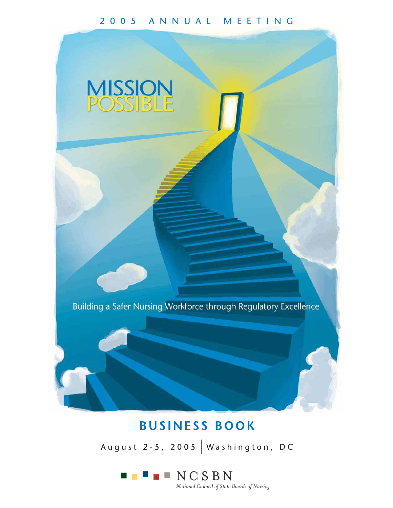## 2005 ANNUAL MEETING



# **BUSINESS BOOK**

August  $2-5$ ,  $2005$  Washington, DC

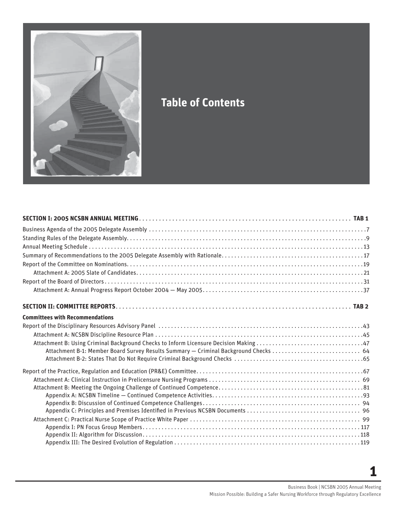

# **Table of Contents**

| <b>Committees with Recommendations</b>                                               |  |
|--------------------------------------------------------------------------------------|--|
|                                                                                      |  |
|                                                                                      |  |
| Attachment B: Using Criminal Background Checks to Inform Licensure Decision Making47 |  |
| Attachment B-1: Member Board Survey Results Summary - Criminal Background Checks  64 |  |
|                                                                                      |  |
|                                                                                      |  |
|                                                                                      |  |
|                                                                                      |  |
|                                                                                      |  |
|                                                                                      |  |
|                                                                                      |  |
|                                                                                      |  |
|                                                                                      |  |
|                                                                                      |  |
|                                                                                      |  |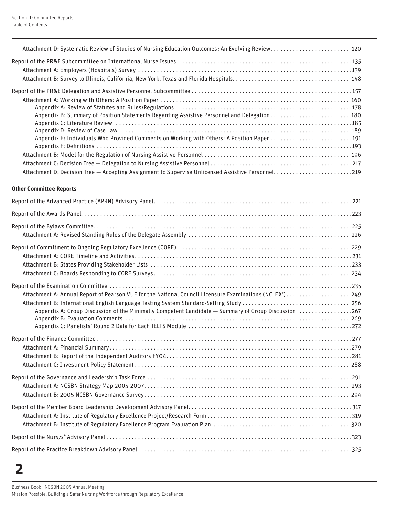| Attachment D: Systematic Review of Studies of Nursing Education Outcomes: An Evolving Review 120  |  |
|---------------------------------------------------------------------------------------------------|--|
|                                                                                                   |  |
|                                                                                                   |  |
|                                                                                                   |  |
|                                                                                                   |  |
|                                                                                                   |  |
|                                                                                                   |  |
| Appendix B: Summary of Position Statements Regarding Assistive Personnel and Delegation  180      |  |
|                                                                                                   |  |
|                                                                                                   |  |
| Appendix E: Individuals Who Provided Comments on Working with Others: A Position Paper 191        |  |
|                                                                                                   |  |
|                                                                                                   |  |
|                                                                                                   |  |
| Attachment D: Decision Tree - Accepting Assignment to Supervise Unlicensed Assistive Personnel219 |  |

## **Other Committee Reports**

| Attachment A: Annual Report of Pearson VUE for the National Council Licensure Examinations (NCLEX <sup>®</sup> ) 249<br>Appendix A: Group Discussion of the Minimally Competent Candidate — Summary of Group Discussion 267 |
|-----------------------------------------------------------------------------------------------------------------------------------------------------------------------------------------------------------------------------|
|                                                                                                                                                                                                                             |
|                                                                                                                                                                                                                             |
|                                                                                                                                                                                                                             |
|                                                                                                                                                                                                                             |
|                                                                                                                                                                                                                             |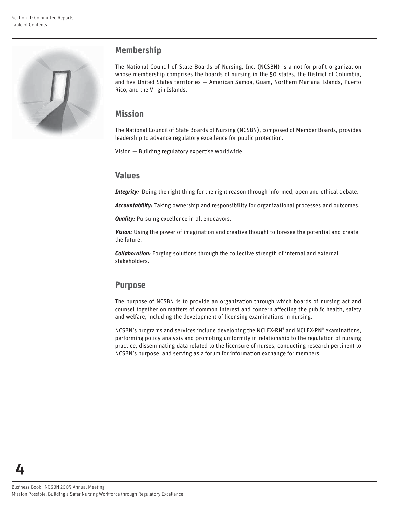

## **Membership**

The National Council of State Boards of Nursing, Inc. (NCSBN) is a not-for-profi t organization whose membership comprises the boards of nursing in the 50 states, the District of Columbia, and five United States territories — American Samoa, Guam, Northern Mariana Islands, Puerto Rico, and the Virgin Islands.

## **Mission**

The National Council of State Boards of Nursing (NCSBN), composed of Member Boards, provides leadership to advance regulatory excellence for public protection.

Vision — Building regulatory expertise worldwide.

## **Values**

*Integrity:* Doing the right thing for the right reason through informed, open and ethical debate.

*Accountability:* Taking ownership and responsibility for organizational processes and outcomes.

*Quality:* Pursuing excellence in all endeavors.

*Vision:* Using the power of imagination and creative thought to foresee the potential and create the future.

*Collaboration:* Forging solutions through the collective strength of internal and external stakeholders.

## **Purpose**

The purpose of NCSBN is to provide an organization through which boards of nursing act and counsel together on matters of common interest and concern affecting the public health, safety and welfare, including the development of licensing examinations in nursing.

NCSBN's programs and services include developing the NCLEX-RN® and NCLEX-PN® examinations, performing policy analysis and promoting uniformity in relationship to the regulation of nursing practice, disseminating data related to the licensure of nurses, conducting research pertinent to NCSBN's purpose, and serving as a forum for information exchange for members.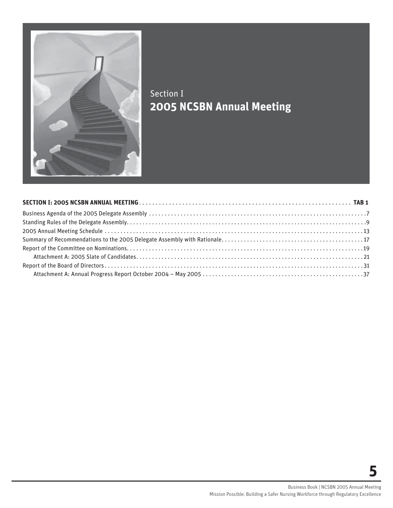

# Section I **2005 NCSBN Annual Meeting**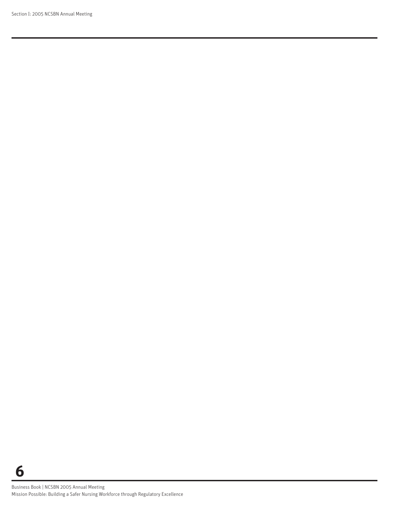Section I: 2005 NCSBN Annual Meeting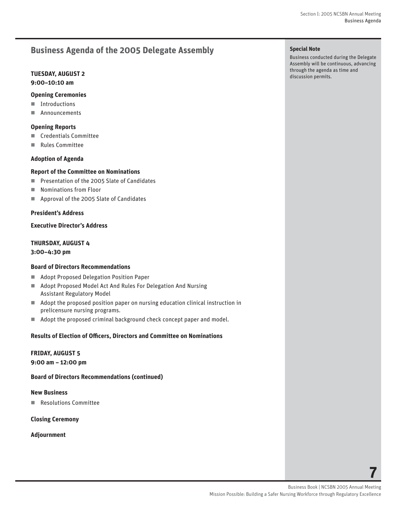Business conducted during the Delegate Assembly will be continuous, advancing through the agenda as time and

**Special Note**

discussion permits.

## <span id="page-7-0"></span>**Business Agenda of the 2005 Delegate Assembly**

## **TUESDAY, AUGUST 2 9:00–10:10 am**

#### **Opening Ceremonies**

- **Introductions**
- **E** Announcements

## **Opening Reports**

- -Credentials Committee
- Rules Committee

## **Adoption of Agenda**

## **Report of the Committee on Nominations**

- **Presentation of the 2005 Slate of Candidates**
- -Nominations from Floor
- Approval of the 2005 Slate of Candidates

## **President's Address**

## **Executive Director's Address**

## **THURSDAY, AUGUST 4**

**3:00–4:30 pm**

## **Board of Directors Recommendations**

- Adopt Proposed Delegation Position Paper
- Adopt Proposed Model Act And Rules For Delegation And Nursing Assistant Regulatory Model
- Adopt the proposed position paper on nursing education clinical instruction in prelicensure nursing programs.
- Adopt the proposed criminal background check concept paper and model.

## **Results of Election of Officers, Directors and Committee on Nominations**

## **FRIDAY, AUGUST 5**

**9:00 am – 12:00 pm**

## **Board of Directors Recommendations (continued)**

## **New Business**

**Resolutions Committee** 

## **Closing Ceremony**

## **Adjournment**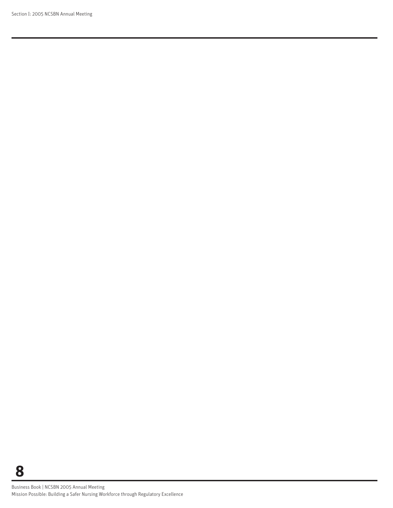Section I: 2005 NCSBN Annual Meeting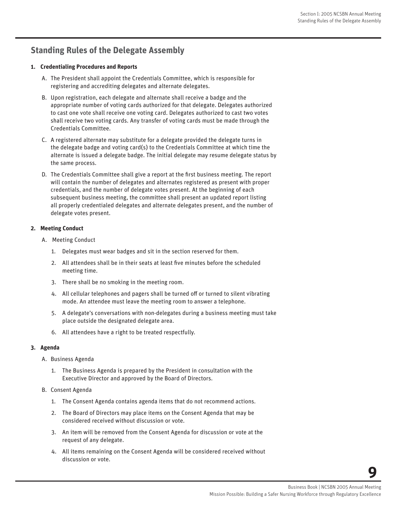## <span id="page-9-0"></span>**Standing Rules of the Delegate Assembly**

## **1. Credentialing Procedures and Reports**

- A. The President shall appoint the Credentials Committee, which is responsible for registering and accrediting delegates and alternate delegates.
- B. Upon registration, each delegate and alternate shall receive a badge and the appropriate number of voting cards authorized for that delegate. Delegates authorized to cast one vote shall receive one voting card. Delegates authorized to cast two votes shall receive two voting cards. Any transfer of voting cards must be made through the Credentials Committee.
- C. A registered alternate may substitute for a delegate provided the delegate turns in the delegate badge and voting card(s) to the Credentials Committee at which time the alternate is issued a delegate badge. The initial delegate may resume delegate status by the same process.
- D. The Credentials Committee shall give a report at the first business meeting. The report will contain the number of delegates and alternates registered as present with proper credentials, and the number of delegate votes present. At the beginning of each subsequent business meeting, the committee shall present an updated report listing all properly credentialed delegates and alternate delegates present, and the number of delegate votes present.

## **2. Meeting Conduct**

- A. Meeting Conduct
	- 1. Delegates must wear badges and sit in the section reserved for them.
	- 2. All attendees shall be in their seats at least five minutes before the scheduled meeting time.
	- 3. There shall be no smoking in the meeting room.
	- 4. All cellular telephones and pagers shall be turned off or turned to silent vibrating mode. An attendee must leave the meeting room to answer a telephone.
	- 5. A delegate's conversations with non-delegates during a business meeting must take place outside the designated delegate area.
	- 6. All attendees have a right to be treated respectfully.

## **3. Agenda**

- A. Business Agenda
	- 1. The Business Agenda is prepared by the President in consultation with the Executive Director and approved by the Board of Directors.
- B. Consent Agenda
	- 1. The Consent Agenda contains agenda items that do not recommend actions.
	- 2. The Board of Directors may place items on the Consent Agenda that may be considered received without discussion or vote.
	- 3. An item will be removed from the Consent Agenda for discussion or vote at the request of any delegate.
	- 4. All items remaining on the Consent Agenda will be considered received without discussion or vote.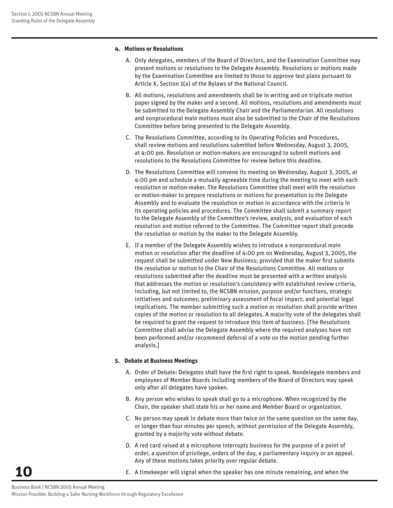#### **4. Motions or Resolutions**

- A. Only delegates, members of the Board of Directors, and the Examination Committee may present motions or resolutions to the Delegate Assembly. Resolutions or motions made by the Examination Committee are limited to those to approve test plans pursuant to Article X, Section 1(a) of the Bylaws of the National Council.
- B. All motions, resolutions and amendments shall be in writing and on triplicate motion paper signed by the maker and a second. All motions, resolutions and amendments must be submitted to the Delegate Assembly Chair and the Parliamentarian. All resolutions and nonprocedural main motions must also be submitted to the Chair of the Resolutions Committee before being presented to the Delegate Assembly.
- C. The Resolutions Committee, according to its Operating Policies and Procedures, shall review motions and resolutions submitted before Wednesday, August 3, 2005, at 4:00 pm. Resolution or motion-makers are encouraged to submit motions and resolutions to the Resolutions Committee for review before this deadline.
- D. The Resolutions Committee will convene its meeting on Wednesday, August 3, 2005, at 4:00 pm and schedule a mutually agreeable time during the meeting to meet with each resolution or motion-maker. The Resolutions Committee shall meet with the resolution or motion-maker to prepare resolutions or motions for presentation to the Delegate Assembly and to evaluate the resolution or motion in accordance with the criteria in its operating policies and procedures. The Committee shall submit a summary report to the Delegate Assembly of the Committee's review, analysis, and evaluation of each resolution and motion referred to the Committee. The Committee report shall precede the resolution or motion by the maker to the Delegate Assembly.
- E. If a member of the Delegate Assembly wishes to introduce a nonprocedural main motion or resolution after the deadline of 4:00 pm on Wednesday, August 3, 2005, the request shall be submitted under New Business; provided that the maker first submits the resolution or motion to the Chair of the Resolutions Committee. All motions or resolutions submitted after the deadline must be presented with a written analysis that addresses the motion or resolution's consistency with established review criteria, including, but not limited to, the NCSBN mission, purpose and/or functions, strategic initiatives and outcomes; preliminary assessment of fiscal impact; and potential legal implications. The member submitting such a motion or resolution shall provide written copies of the motion or resolution to all delegates. A majority vote of the delegates shall be required to grant the request to introduce this item of business. [The Resolutions Committee shall advise the Delegate Assembly where the required analyses have not been performed and/or recommend deferral of a vote on the motion pending further analysis.]

## **5. Debate at Business Meetings**

- A. Order of Debate: Delegates shall have the first right to speak. Nondelegate members and employees of Member Boards including members of the Board of Directors may speak only after all delegates have spoken.
- B. Any person who wishes to speak shall go to a microphone. When recognized by the Chair, the speaker shall state his or her name and Member Board or organization.
- C. No person may speak in debate more than twice on the same question on the same day, or longer than four minutes per speech, without permission of the Delegate Assembly, granted by a majority vote without debate.
- D. A red card raised at a microphone interrupts business for the purpose of a point of order, a question of privilege, orders of the day, a parliamentary inquiry or an appeal. Any of these motions takes priority over regular debate.
- E. A timekeeper will signal when the speaker has one minute remaining, and when the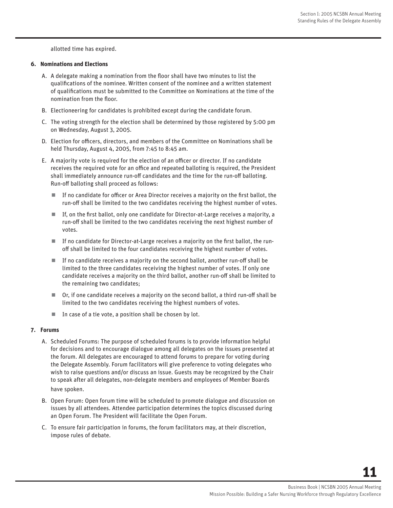allotted time has expired.

#### **6. Nominations and Elections**

- A. A delegate making a nomination from the floor shall have two minutes to list the qualifi cations of the nominee. Written consent of the nominee and a written statement of qualifi cations must be submitted to the Committee on Nominations at the time of the nomination from the floor.
- B. Electioneering for candidates is prohibited except during the candidate forum.
- C. The voting strength for the election shall be determined by those registered by 5:00 pm on Wednesday, August 3, 2005.
- D. Election for officers, directors, and members of the Committee on Nominations shall be held Thursday, August 4, 2005, from 7:45 to 8:45 am.
- E. A majority vote is required for the election of an officer or director. If no candidate receives the required vote for an office and repeated balloting is required, the President shall immediately announce run-off candidates and the time for the run-off balloting. Run-off balloting shall proceed as follows:
	- -If no candidate for officer or Area Director receives a majority on the first ballot, the run-off shall be limited to the two candidates receiving the highest number of votes.
	- -If, on the first ballot, only one candidate for Director-at-Large receives a majority, a run-off shall be limited to the two candidates receiving the next highest number of votes.
	- -If no candidate for Director-at-Large receives a majority on the first ballot, the runoff shall be limited to the four candidates receiving the highest number of votes.
	- - If no candidate receives a majority on the second ballot, another run-off shall be limited to the three candidates receiving the highest number of votes. If only one candidate receives a majority on the third ballot, another run-off shall be limited to the remaining two candidates;
	- - Or, if one candidate receives a majority on the second ballot, a third run-off shall be limited to the two candidates receiving the highest numbers of votes.
	- -In case of a tie vote, a position shall be chosen by lot.

## **7. Forums**

- A. Scheduled Forums: The purpose of scheduled forums is to provide information helpful for decisions and to encourage dialogue among all delegates on the issues presented at the forum. All delegates are encouraged to attend forums to prepare for voting during the Delegate Assembly. Forum facilitators will give preference to voting delegates who wish to raise questions and/or discuss an issue. Guests may be recognized by the Chair to speak after all delegates, non-delegate members and employees of Member Boards have spoken.
- B. Open Forum: Open forum time will be scheduled to promote dialogue and discussion on issues by all attendees. Attendee participation determines the topics discussed during an Open Forum. The President will facilitate the Open Forum.
- C. To ensure fair participation in forums, the forum facilitators may, at their discretion, impose rules of debate.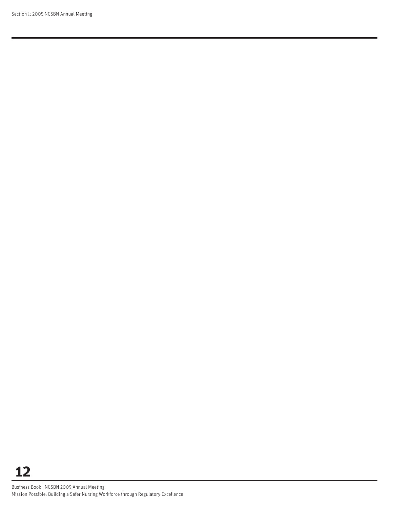Section I: 2005 NCSBN Annual Meeting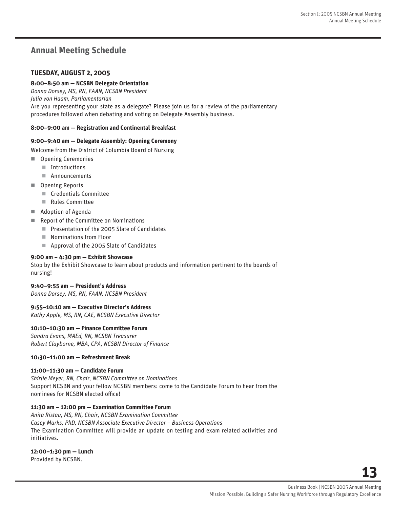## <span id="page-13-0"></span>**Annual Meeting Schedule**

## **TUESDAY, AUGUST 2, 2005**

## **8:00–8:50 am — NCSBN Delegate Orientation**

*Donna Dorsey, MS, RN, FAAN, NCSBN President Julia von Haam, Parliamentarian* Are you representing your state as a delegate? Please join us for a review of the parliamentary procedures followed when debating and voting on Delegate Assembly business.

## **8:00–9:00 am — Registration and Continental Breakfast**

## **9:00–9:40 am — Delegate Assembly: Opening Ceremony**

Welcome from the District of Columbia Board of Nursing

- **Dening Ceremonies** 
	- $\blacksquare$  Introductions
		- Announcements
- **Dening Reports** 
	- **Endentials Committee**
	- Rules Committee
- Adoption of Agenda
- Report of the Committee on Nominations
	- **Presentation of the 2005 Slate of Candidates**
	- **Nominations from Floor**
	- Approval of the 2005 Slate of Candidates

## **9:00 am – 4:30 pm — Exhibit Showcase**

Stop by the Exhibit Showcase to learn about products and information pertinent to the boards of nursing!

## **9:40–9:55 am — President's Address**

*Donna Dorsey, MS, RN, FAAN, NCSBN President*

## **9:55–10:10 am — Executive Director's Address**

*Kathy Apple, MS, RN, CAE, NCSBN Executive Director*

## **10:10–10:30 am — Finance Committee Forum**

*Sandra Evans, MAEd, RN, NCSBN Treasurer Robert Clayborne, MBA, CPA, NCSBN Director of Finance*

## **10:30–11:00 am — Refreshment Break**

## **11:00–11:30 am — Candidate Forum**

*Shirlie Meyer, RN, Chair, NCSBN Committee on Nominations* Support NCSBN and your fellow NCSBN members: come to the Candidate Forum to hear from the nominees for NCSBN elected office!

## **11:30 am – 12:00 pm — Examination Committee Forum**

*Anita Ristau, MS, RN, Chair, NCSBN Examination Committee Casey Marks, PhD, NCSBN Associate Executive Director – Business Operations* The Examination Committee will provide an update on testing and exam related activities and initiatives.

**12:00–1:30 pm — Lunch**

Provided by NCSBN.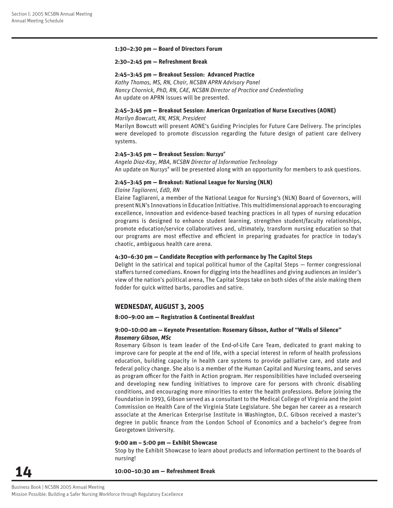#### **1:30–2:30 pm — Board of Directors Forum**

#### **2:30–2:45 pm — Refreshment Break**

#### **2:45–3:45 pm — Breakout Session: Advanced Practice**

*Kathy Thomas, MS, RN, Chair, NCSBN APRN Advisory Panel Nancy Chornick, PhD, RN, CAE, NCSBN Director of Practice and Credentialing* An update on APRN issues will be presented.

#### **2:45–3:45 pm — Breakout Session: American Organization of Nurse Executives (AONE)**

*Marilyn Bowcutt, RN, MSN, President*  Marilyn Bowcutt will present AONE's Guiding Principles for Future Care Delivery. The principles were developed to promote discussion regarding the future design of patient care delivery systems.

#### **2:45–3:45 pm — Breakout Session: Nur***sys***®**

*Angela Diaz-Kay, MBA, NCSBN Director of Information Technology* An update on Nur*sys*® will be presented along with an opportunity for members to ask questions.

#### **2:45–3:45 pm — Breakout: National League for Nursing (NLN)**

#### *Elaine Tagliareni, EdD, RN*

Elaine Tagliareni, a member of the National League for Nursing's (NLN) Board of Governors, will present NLN's Innovations in Education Initiative. This multidimensional approach to encouraging excellence, innovation and evidence-based teaching practices in all types of nursing education programs is designed to enhance student learning, strengthen student/faculty relationships, promote education/service collaboratives and, ultimately, transform nursing education so that our programs are most effective and efficient in preparing graduates for practice in today's chaotic, ambiguous health care arena.

#### **4:30–6:30 pm — Candidate Reception with performance by The Capitol Steps**

Delight in the satirical and topical political humor of the Capital Steps — former congressional staffers turned comedians. Known for digging into the headlines and giving audiences an insider's view of the nation's political arena, The Capital Steps take on both sides of the aisle making them fodder for quick witted barbs, parodies and satire.

## **WEDNESDAY, AUGUST 3, 2005**

#### **8:00–9:00 am — Registration & Continental Breakfast**

#### **9:00–10:00 am — Keynote Presentation: Rosemary Gibson, Author of "Walls of Silence"** *Rosemary Gibson, MSc*

Rosemary Gibson is team leader of the End-of-Life Care Team, dedicated to grant making to improve care for people at the end of life, with a special interest in reform of health professions education, building capacity in health care systems to provide palliative care, and state and federal policy change. She also is a member of the Human Capital and Nursing teams, and serves as program officer for the Faith in Action program. Her responsibilities have included overseeing and developing new funding initiatives to improve care for persons with chronic disabling conditions, and encouraging more minorities to enter the health professions. Before joining the Foundation in 1993, Gibson served as a consultant to the Medical College of Virginia and the Joint Commission on Health Care of the Virginia State Legislature. She began her career as a research associate at the American Enterprise Institute in Washington, D.C. Gibson received a master's degree in public finance from the London School of Economics and a bachelor's degree from Georgetown University.

#### **9:00 am – 5:00 pm — Exhibit Showcase**

Stop by the Exhibit Showcase to learn about products and information pertinent to the boards of nursing!

#### **10:00–10:30 am — Refreshment Break**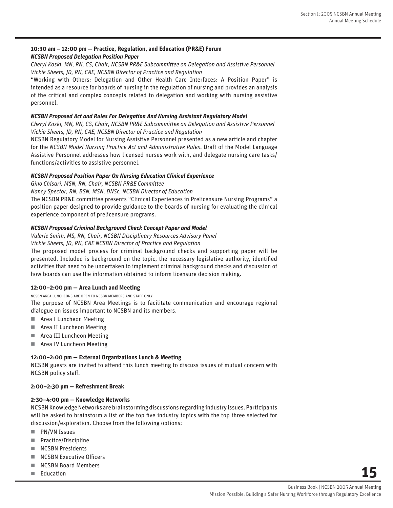## **10:30 am – 12:00 pm — Practice, Regulation, and Education (PR&E) Forum**  *NCSBN Proposed Delegation Position Paper*

*Cheryl Koski, MN, RN, CS, Chair, NCSBN PR&E Subcommittee on Delegation and Assistive Personnel Vickie Sheets, JD, RN, CAE, NCSBN Director of Practice and Regulation* 

"Working with Others: Delegation and Other Health Care Interfaces: A Position Paper" is intended as a resource for boards of nursing in the regulation of nursing and provides an analysis of the critical and complex concepts related to delegation and working with nursing assistive personnel.

## *NCSBN Proposed Act and Rules For Delegation And Nursing Assistant Regulatory Model*

*Cheryl Koski, MN, RN, CS, Chair, NCSBN PR&E Subcommittee on Delegation and Assistive Personnel Vickie Sheets, JD, RN, CAE, NCSBN Director of Practice and Regulation* 

NCSBN Regulatory Model for Nursing Assistive Personnel presented as a new article and chapter for the *NCSBN Model Nursing Practice Act and Administrative Rules*. Draft of the Model Language Assistive Personnel addresses how licensed nurses work with, and delegate nursing care tasks/ functions/activities to assistive personnel.

## *NCSBN Proposed Position Paper On Nursing Education Clinical Experience*

*Gino Chisari, MSN, RN, Chair, NCSBN PR&E Committee* 

*Nancy Spector, RN, BSN, MSN, DNSc, NCSBN Director of Education* 

The NCSBN PR&E committee presents "Clinical Experiences in Prelicensure Nursing Programs" a position paper designed to provide guidance to the boards of nursing for evaluating the clinical experience component of prelicensure programs.

## *NCSBN Proposed Criminal Background Check Concept Paper and Model*

*Valerie Smith, MS, RN, Chair, NCSBN Disciplinary Resources Advisory Panel* 

*Vickie Sheets, JD, RN, CAE NCSBN Director of Practice and Regulation* 

The proposed model process for criminal background checks and supporting paper will be presented. Included is background on the topic, the necessary legislative authority, identified activities that need to be undertaken to implement criminal background checks and discussion of how boards can use the information obtained to inform licensure decision making.

## **12:00–2:00 pm — Area Lunch and Meeting**

NCSBN AREA LUNCHEONS ARE OPEN TO NCSBN MEMBERS AND STAFF ONLY.

The purpose of NCSBN Area Meetings is to facilitate communication and encourage regional dialogue on issues important to NCSBN and its members.

- **E** Area I Luncheon Meeting
- **E** Area II Luncheon Meeting
- **E** Area III Luncheon Meeting
- **E** Area IV Luncheon Meeting

## **12:00–2:00 pm — External Organizations Lunch & Meeting**

NCSBN guests are invited to attend this lunch meeting to discuss issues of mutual concern with NCSBN policy staff .

## **2:00–2:30 pm — Refreshment Break**

## **2:30–4:00 pm — Knowledge Networks**

NCSBN Knowledge Networks are brainstorming discussions regarding industry issues. Participants will be asked to brainstorm a list of the top five industry topics with the top three selected for discussion/exploration. Choose from the following options:

- **PN/VN Issues**
- Practice/Discipline
- **NCSBN Presidents**
- **NCSBN Executive Officers**
- **NCSBN Board Members**
- **Education**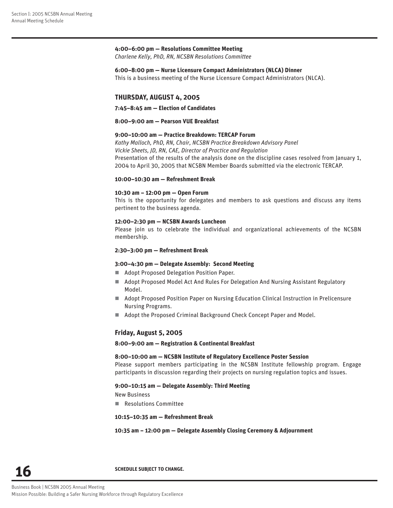#### **4:00–6:00 pm — Resolutions Committee Meeting**

*Charlene Kelly, PhD, RN, NCSBN Resolutions Committee* 

#### **6:00–8:00 pm — Nurse Licensure Compact Administrators (NLCA) Dinner**

This is a business meeting of the Nurse Licensure Compact Administrators (NLCA).

#### **THURSDAY, AUGUST 4, 2005**

**7:45–8:45 am — Election of Candidates**

**8:00–9:00 am — Pearson VUE Breakfast** 

#### **9:00–10:00 am — Practice Breakdown: TERCAP Forum**

*Kathy Malloch, PhD, RN, Chair, NCSBN Practice Breakdown Advisory Panel Vickie Sheets, JD, RN, CAE, Director of Practice and Regulation*  Presentation of the results of the analysis done on the discipline cases resolved from January 1, 2004 to April 30, 2005 that NCSBN Member Boards submitted via the electronic TERCAP.

#### **10:00–10:30 am — Refreshment Break**

#### **10:30 am – 12:00 pm — Open Forum**

This is the opportunity for delegates and members to ask questions and discuss any items pertinent to the business agenda.

#### **12:00–2:30 pm — NCSBN Awards Luncheon**

Please join us to celebrate the individual and organizational achievements of the NCSBN membership.

#### **2:30–3:00 pm — Refreshment Break**

#### **3:00–4:30 pm — Delegate Assembly: Second Meeting**

- **Adopt Proposed Delegation Position Paper.**
- Adopt Proposed Model Act And Rules For Delegation And Nursing Assistant Regulatory Model.
- Adopt Proposed Position Paper on Nursing Education Clinical Instruction in Prelicensure Nursing Programs.
- Adopt the Proposed Criminal Background Check Concept Paper and Model.

#### **Friday, August 5, 2005**

#### **8:00–9:00 am — Registration & Continental Breakfast**

#### **8:00–10:00 am — NCSBN Institute of Regulatory Excellence Poster Session**

Please support members participating in the NCSBN Institute fellowship program. Engage participants in discussion regarding their projects on nursing regulation topics and issues.

#### **9:00–10:15 am — Delegate Assembly: Third Meeting**

New Business

**Resolutions Committee** 

#### **10:15–10:35 am — Refreshment Break**

**10:35 am – 12:00 pm — Delegate Assembly Closing Ceremony & Adjournment**

**SCHEDULE SUBJECT TO CHANGE.**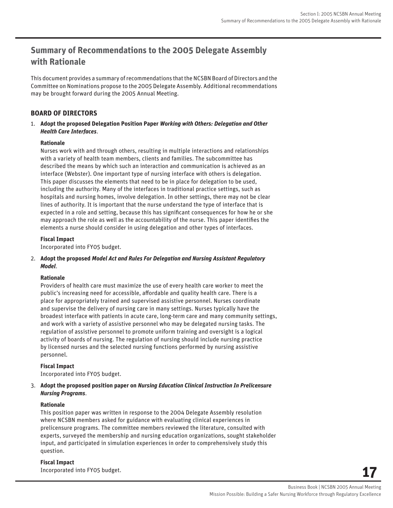## <span id="page-17-0"></span>**Summary of Recommendations to the 2005 Delegate Assembly with Rationale**

This document provides a summary of recommendations that the NCSBN Board of Directors and the Committee on Nominations propose to the 2005 Delegate Assembly. Additional recommendations may be brought forward during the 2005 Annual Meeting.

## **BOARD OF DIRECTORS**

1. **Adopt the proposed Delegation Position Paper** *Working with Others: Delegation and Other Health Care Interfaces*.

## **Rationale**

Nurses work with and through others, resulting in multiple interactions and relationships with a variety of health team members, clients and families. The subcommittee has described the means by which such an interaction and communication is achieved as an interface (Webster). One important type of nursing interface with others is delegation. This paper discusses the elements that need to be in place for delegation to be used, including the authority. Many of the interfaces in traditional practice settings, such as hospitals and nursing homes, involve delegation. In other settings, there may not be clear lines of authority. It is important that the nurse understand the type of interface that is expected in a role and setting, because this has significant consequences for how he or she may approach the role as well as the accountability of the nurse. This paper identifies the elements a nurse should consider in using delegation and other types of interfaces.

## **Fiscal Impact**

Incorporated into FY05 budget.

## 2. **Adopt the proposed** *Model Act and Rules For Delegation and Nursing Assistant Regulatory Model*.

## **Rationale**

Providers of health care must maximize the use of every health care worker to meet the public's increasing need for accessible, affordable and quality health care. There is a place for appropriately trained and supervised assistive personnel. Nurses coordinate and supervise the delivery of nursing care in many settings. Nurses typically have the broadest interface with patients in acute care, long-term care and many community settings, and work with a variety of assistive personnel who may be delegated nursing tasks. The regulation of assistive personnel to promote uniform training and oversight is a logical activity of boards of nursing. The regulation of nursing should include nursing practice by licensed nurses and the selected nursing functions performed by nursing assistive personnel.

## **Fiscal Impact**

Incorporated into FY05 budget.

## 3. **Adopt the proposed position paper on** *Nursing Education Clinical Instruction In Prelicensure Nursing Programs*.

## **Rationale**

This position paper was written in response to the 2004 Delegate Assembly resolution where NCSBN members asked for guidance with evaluating clinical experiences in prelicensure programs. The committee members reviewed the literature, consulted with experts, surveyed the membership and nursing education organizations, sought stakeholder input, and participated in simulation experiences in order to comprehensively study this question.

## **Fiscal Impact**

Incorporated into FY05 budget.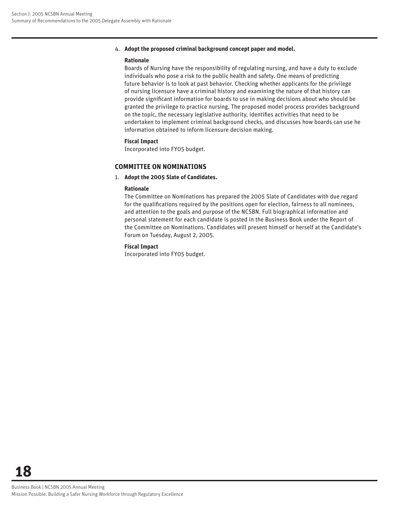#### 4. **Adopt the proposed criminal background concept paper and model.**

#### **Rationale**

Boards of Nursing have the responsibility of regulating nursing, and have a duty to exclude individuals who pose a risk to the public health and safety. One means of predicting future behavior is to look at past behavior. Checking whether applicants for the privilege of nursing licensure have a criminal history and examining the nature of that history can provide significant information for boards to use in making decisions about who should be granted the privilege to practice nursing. The proposed model process provides background on the topic, the necessary legislative authority, identifies activities that need to be undertaken to implement criminal background checks, and discusses how boards can use he information obtained to inform licensure decision making.

#### **Fiscal Impact**

Incorporated into FY05 budget.

## **COMMITTEE ON NOMINATIONS**

#### 1. **Adopt the 2005 Slate of Candidates.**

#### **Rationale**

The Committee on Nominations has prepared the 2005 Slate of Candidates with due regard for the qualifications required by the positions open for election, fairness to all nominees, and attention to the goals and purpose of the NCSBN. Full biographical information and personal statement for each candidate is posted in the Business Book under the Report of the Committee on Nominations. Candidates will present himself or herself at the Candidate's Forum on Tuesday, August 2, 2005.

#### **Fiscal Impact**

Incorporated into FY05 budget.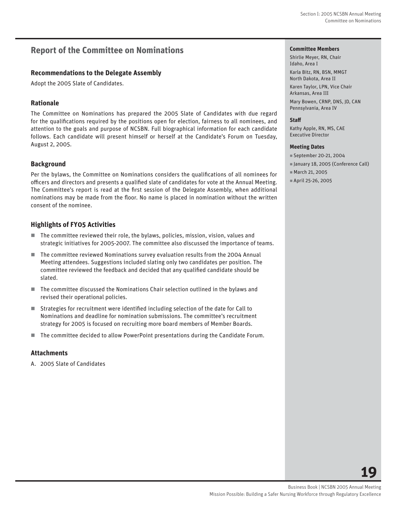## <span id="page-19-0"></span>**Report of the Committee on Nominations**

## **Recommendations to the Delegate Assembly**

Adopt the 2005 Slate of Candidates.

## **Rationale**

The Committee on Nominations has prepared the 2005 Slate of Candidates with due regard for the qualifications required by the positions open for election, fairness to all nominees, and attention to the goals and purpose of NCSBN. Full biographical information for each candidate follows. Each candidate will present himself or herself at the Candidate's Forum on Tuesday, August 2, 2005.

## **Background**

Per the bylaws, the Committee on Nominations considers the qualifications of all nominees for officers and directors and presents a qualified slate of candidates for vote at the Annual Meeting. The Committee's report is read at the first session of the Delegate Assembly, when additional nominations may be made from the floor. No name is placed in nomination without the written consent of the nominee.

## **Highlights of FY05 Activities**

- $\blacksquare$  The committee reviewed their role, the bylaws, policies, mission, vision, values and strategic initiatives for 2005-2007. The committee also discussed the importance of teams.
- - The committee reviewed Nominations survey evaluation results from the 2004 Annual Meeting attendees. Suggestions included slating only two candidates per position. The committee reviewed the feedback and decided that any qualified candidate should be slated.
- The committee discussed the Nominations Chair selection outlined in the bylaws and revised their operational policies.
- -Strategies for recruitment were identified including selection of the date for Call to Nominations and deadline for nomination submissions. The committee's recruitment strategy for 2005 is focused on recruiting more board members of Member Boards.
- The committee decided to allow PowerPoint presentations during the Candidate Forum.

## **Attachments**

A. 2005 Slate of Candidates

#### **Committee Members**

Shirlie Meyer, RN, Chair Idaho, Area I

Karla Bitz, RN, BSN, MMGT North Dakota, Area II

Karen Taylor, LPN, Vice Chair Arkansas, Area III

Mary Bowen, CRNP, DNS, JD, CAN Pennsylvania, Area IV

#### **Staff**

Kathy Apple, RN, MS, CAE Executive Director

#### **Meeting Dates**

- September 20-21, 2004
- January 18, 2005 (Conference Call)
- March 21, 2005
- April 25-26, 2005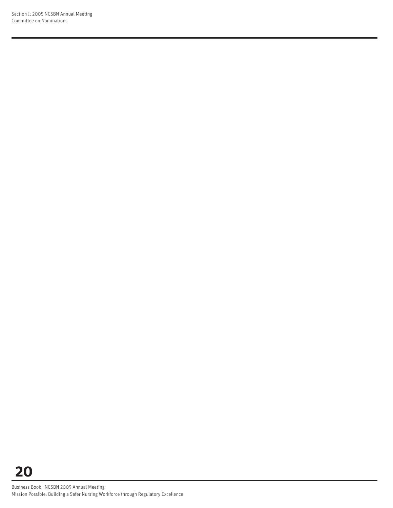Section I: 2005 NCSBN Annual Meeting Committee on Nominations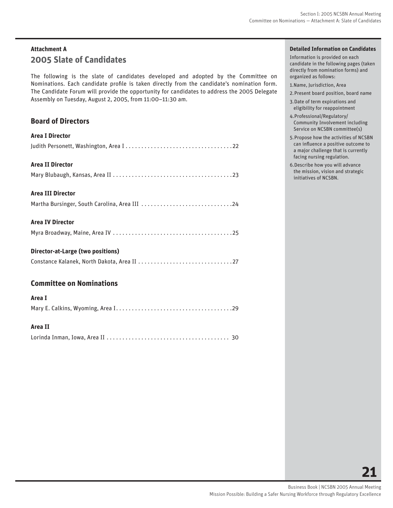## <span id="page-21-0"></span>**Attachment A 2005 Slate of Candidates**

The following is the slate of candidates developed and adopted by the Committee on Nominations. Each candidate profile is taken directly from the candidate's nomination form. The Candidate Forum will provide the opportunity for candidates to address the 2005 Delegate Assembly on Tuesday, August 2, 2005, from 11:00–11:30 am.

## **Board of Directors**

| <b>Area II Director</b>                       |
|-----------------------------------------------|
|                                               |
| <b>Area III Director</b>                      |
| Martha Bursinger, South Carolina, Area III 24 |
| <b>Area IV Director</b>                       |
|                                               |
| Director-at-Large (two positions)             |
|                                               |
| <b>Committee on Nominations</b>               |
| Area I                                        |
|                                               |

## **Area II**

|--|

#### **Detailed Information on Candidates**

Information is provided on each candidate in the following pages (taken directly from nomination forms) and organized as follows:

- 1. Name, Jurisdiction, Area
- 2. Present board position, board name
- 3. Date of term expirations and eligibility for reappointment
- 4. Professional/Regulatory/ Community Involvement including Service on NCSBN committee(s)
- 5. Propose how the activities of NCSBN can influence a positive outcome to a major challenge that is currently facing nursing regulation.
- 6. Describe how you will advance the mission, vision and strategic initiatives of NCSBN.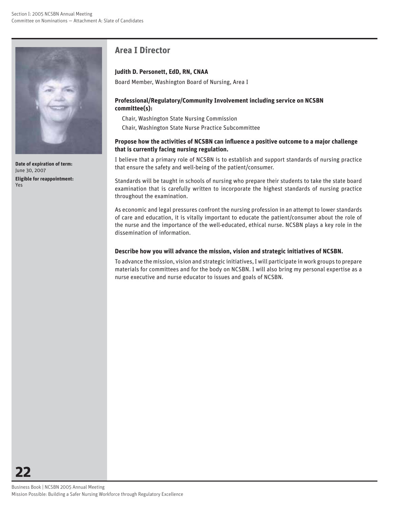

**Date of expiration of term:** June 30, 2007 **Eligible for reappointment:** Yes

## **Area I Director**

## **Judith D. Personett, EdD, RN, CNAA**

Board Member, Washington Board of Nursing, Area I

## **Professional/Regulatory/Community Involvement including service on NCSBN committee(s):**

Chair, Washington State Nursing Commission

Chair, Washington State Nurse Practice Subcommittee

## Propose how the activities of NCSBN can influence a positive outcome to a major challenge **that is currently facing nursing regulation.**

I believe that a primary role of NCSBN is to establish and support standards of nursing practice that ensure the safety and well-being of the patient/consumer.

Standards will be taught in schools of nursing who prepare their students to take the state board examination that is carefully written to incorporate the highest standards of nursing practice throughout the examination.

As economic and legal pressures confront the nursing profession in an attempt to lower standards of care and education, it is vitally important to educate the patient/consumer about the role of the nurse and the importance of the well-educated, ethical nurse. NCSBN plays a key role in the dissemination of information.

## **Describe how you will advance the mission, vision and strategic initiatives of NCSBN.**

To advance the mission, vision and strategic initiatives, I will participate in work groups to prepare materials for committees and for the body on NCSBN. I will also bring my personal expertise as a nurse executive and nurse educator to issues and goals of NCSBN.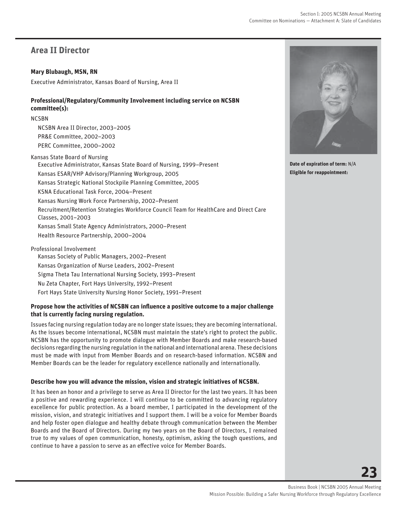## **Area II Director**

## **Mary Blubaugh, MSN, RN**

Executive Administrator, Kansas Board of Nursing, Area II

## **Professional/Regulatory/Community Involvement including service on NCSBN committee(s):**

## NCSBN

NCSBN Area II Director, 2003–2005 PR&E Committee, 2002–2003 PERC Committee, 2000–2002

Kansas State Board of Nursing Executive Administrator, Kansas State Board of Nursing, 1999–Present Kansas ESAR/VHP Advisory/Planning Workgroup, 2005 Kansas Strategic National Stockpile Planning Committee, 2005 KSNA Educational Task Force, 2004–Present Kansas Nursing Work Force Partnership, 2002–Present Recruitment/Retention Strategies Workforce Council Team for HealthCare and Direct Care Classes, 2001–2003 Kansas Small State Agency Administrators, 2000–Present Health Resource Partnership, 2000–2004

Professional Involvement Kansas Society of Public Managers, 2002–Present Kansas Organization of Nurse Leaders, 2002–Present Sigma Theta Tau International Nursing Society, 1993–Present Nu Zeta Chapter, Fort Hays University, 1992–Present Fort Hays State University Nursing Honor Society, 1991–Present

## Propose how the activities of NCSBN can influence a positive outcome to a major challenge **that is currently facing nursing regulation.**

Issues facing nursing regulation today are no longer state issues; they are becoming international. As the issues become international, NCSBN must maintain the state's right to protect the public. NCSBN has the opportunity to promote dialogue with Member Boards and make research-based decisions regarding the nursing regulation in the national and international arena. These decisions must be made with input from Member Boards and on research-based information. NCSBN and Member Boards can be the leader for regulatory excellence nationally and internationally.

## **Describe how you will advance the mission, vision and strategic initiatives of NCSBN.**

It has been an honor and a privilege to serve as Area II Director for the last two years. It has been a positive and rewarding experience. I will continue to be committed to advancing regulatory excellence for public protection. As a board member, I participated in the development of the mission, vision, and strategic initiatives and I support them. I will be a voice for Member Boards and help foster open dialogue and healthy debate through communication between the Member Boards and the Board of Directors. During my two years on the Board of Directors, I remained true to my values of open communication, honesty, optimism, asking the tough questions, and continue to have a passion to serve as an effective voice for Member Boards.



**Date of expiration of term:** N/A **Eligible for reappointment:**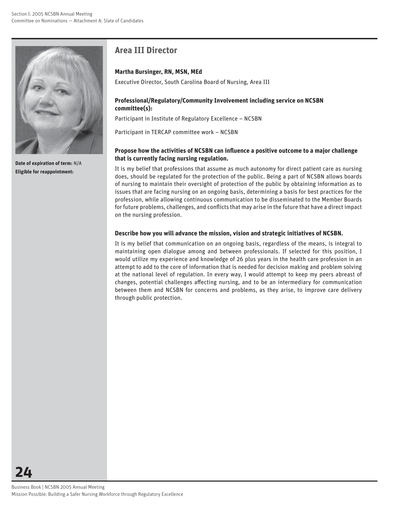

**Date of expiration of term:** N/A **Eligible for reappointment:**

## **Area III Director**

## **Martha Bursinger, RN, MSN, MEd**

Executive Director, South Carolina Board of Nursing, Area III

## **Professional/Regulatory/Community Involvement including service on NCSBN committee(s):**

Participant in Institute of Regulatory Excellence – NCSBN

Participant in TERCAP committee work – NCSBN

## Propose how the activities of NCSBN can influence a positive outcome to a major challenge **that is currently facing nursing regulation.**

It is my belief that professions that assume as much autonomy for direct patient care as nursing does, should be regulated for the protection of the public. Being a part of NCSBN allows boards of nursing to maintain their oversight of protection of the public by obtaining information as to issues that are facing nursing on an ongoing basis, determining a basis for best practices for the profession, while allowing continuous communication to be disseminated to the Member Boards for future problems, challenges, and conflicts that may arise in the future that have a direct impact on the nursing profession.

## **Describe how you will advance the mission, vision and strategic initiatives of NCSBN.**

It is my belief that communication on an ongoing basis, regardless of the means, is integral to maintaining open dialogue among and between professionals. If selected for this position, I would utilize my experience and knowledge of 26 plus years in the health care profession in an attempt to add to the core of information that is needed for decision making and problem solving at the national level of regulation. In every way, I would attempt to keep my peers abreast of changes, potential challenges affecting nursing, and to be an intermediary for communication between them and NCSBN for concerns and problems, as they arise, to improve care delivery through public protection.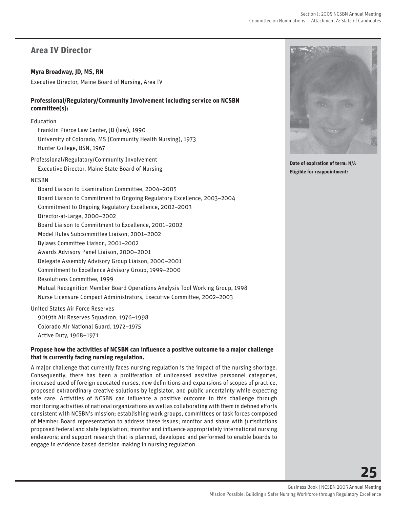## **Area IV Director**

## **Myra Broadway, JD, MS, RN**

Executive Director, Maine Board of Nursing, Area IV

## **Professional/Regulatory/Community Involvement including service on NCSBN committee(s):**

## Education

Franklin Pierce Law Center, JD (law), 1990 University of Colorado, MS (Community Health Nursing), 1973 Hunter College, BSN, 1967

Professional/Regulatory/Community Involvement Executive Director, Maine State Board of Nursing

## **NCSBN**

Board Liaison to Examination Committee, 2004–2005 Board Liaison to Commitment to Ongoing Regulatory Excellence, 2003–2004 Commitment to Ongoing Regulatory Excellence, 2002–2003 Director-at-Large, 2000–2002 Board Liaison to Commitment to Excellence, 2001–2002 Model Rules Subcommittee Liaison, 2001–2002 Bylaws Committee Liaison, 2001–2002 Awards Advisory Panel Liaison, 2000–2001 Delegate Assembly Advisory Group Liaison, 2000–2001 Commitment to Excellence Advisory Group, 1999–2000 Resolutions Committee, 1999 Mutual Recognition Member Board Operations Analysis Tool Working Group, 1998 Nurse Licensure Compact Administrators, Executive Committee, 2002–2003

## United States Air Force Reserves

9019th Air Reserves Squadron, 1976–1998 Colorado Air National Guard, 1972–1975 Active Duty, 1968–1971

## Propose how the activities of NCSBN can influence a positive outcome to a major challenge **that is currently facing nursing regulation.**

A major challenge that currently faces nursing regulation is the impact of the nursing shortage. Consequently, there has been a proliferation of unlicensed assistive personnel categories, increased used of foreign educated nurses, new definitions and expansions of scopes of practice, proposed extraordinary creative solutions by legislator, and public uncertainty while expecting safe care. Activities of NCSBN can influence a positive outcome to this challenge through monitoring activities of national organizations as well as collaborating with them in defined efforts consistent with NCSBN's mission; establishing work groups, committees or task forces composed of Member Board representation to address these issues; monitor and share with jurisdictions proposed federal and state legislation; monitor and influence appropriately international nursing endeavors; and support research that is planned, developed and performed to enable boards to engage in evidence based decision making in nursing regulation.



**Date of expiration of term:** N/A **Eligible for reappointment:**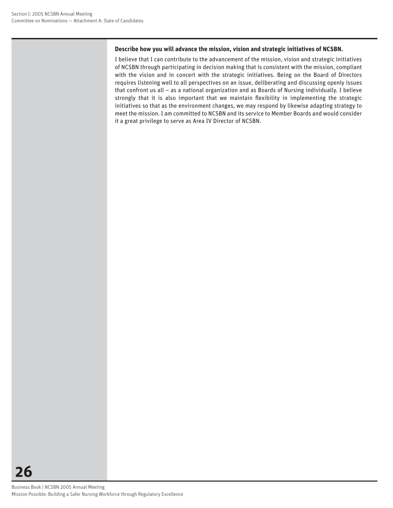## **Describe how you will advance the mission, vision and strategic initiatives of NCSBN.**

I believe that I can contribute to the advancement of the mission, vision and strategic initiatives of NCSBN through participating in decision making that is consistent with the mission, compliant with the vision and in concert with the strategic initiatives. Being on the Board of Directors requires listening well to all perspectives on an issue, deliberating and discussing openly issues that confront us all – as a national organization and as Boards of Nursing individually. I believe strongly that it is also important that we maintain flexibility in implementing the strategic initiatives so that as the environment changes, we may respond by likewise adapting strategy to meet the mission. I am committed to NCSBN and its service to Member Boards and would consider it a great privilege to serve as Area IV Director of NCSBN.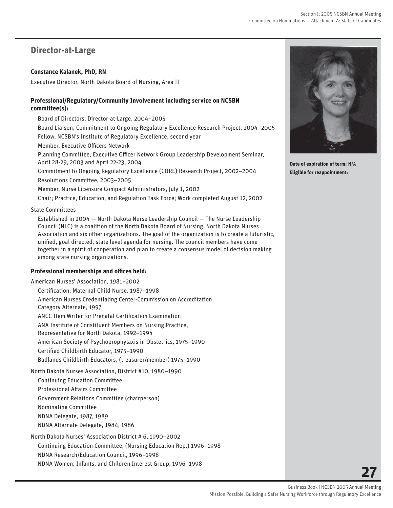## **Director-at-Large**

## **Constance Kalanek, PhD, RN**

Executive Director, North Dakota Board of Nursing, Area II

## **Professional/Regulatory/Community Involvement including service on NCSBN committee(s):**

Board of Directors, Director-at-Large, 2004–2005 Board Liaison, Commitment to Ongoing Regulatory Excellence Research Project, 2004–2005 Fellow, NCSBN's Institute of Regulatory Excellence, second year Member, Executive Officers Network Planning Committee, Executive Officer Network Group Leadership Development Seminar, April 28-29, 2003 and April 22-23, 2004 Commitment to Ongoing Regulatory Excellence (CORE) Research Project, 2002–2004 Resolutions Committee, 2003–2005 Member, Nurse Licensure Compact Administrators, July 1, 2002 Chair; Practice, Education, and Regulation Task Force; Work completed August 12, 2002 State Committees

Established in 2004 — North Dakota Nurse Leadership Council — The Nurse Leadership Council (NLC) is a coalition of the North Dakota Board of Nursing, North Dakota Nurses Association and six other organizations. The goal of the organization is to create a futuristic, unified, goal directed, state level agenda for nursing. The council members have come together in a spirit of cooperation and plan to create a consensus model of decision making among state nursing organizations.

## **Professional memberships and offices held:**

American Nurses' Association, 1981–2002 Certification, Maternal-Child Nurse, 1987-1998 American Nurses Credentialing Center-Commission on Accreditation, Category Alternate, 1997 ANCC Item Writer for Prenatal Certification Examination ANA Institute of Constituent Members on Nursing Practice, Representative for North Dakota, 1992–1994 American Society of Psychoprophylaxis in Obstetrics, 1975–1990 Certified Childbirth Educator, 1975-1990 Badlands Childbirth Educators, (treasurer/member) 1975–1990

North Dakota Nurses Association, District #10, 1980–1990

Continuing Education Committee

Professional Affairs Committee

Government Relations Committee (chairperson)

Nominating Committee

NDNA Delegate, 1987, 1989

NDNA Alternate Delegate, 1984, 1986

North Dakota Nurses' Association District # 6, 1990–2002 Continuing Education Committee, (Nursing Education Rep.) 1996–1998 NDNA Research/Education Council, 1996–1998 NDNA Women, Infants, and Children Interest Group, 1996–1998



**Date of expiration of term:** N/A **Eligible for reappointment:**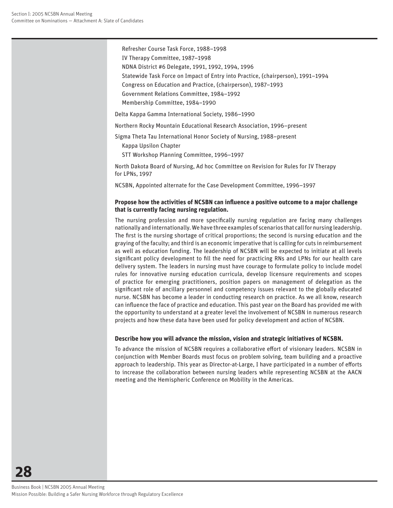Refresher Course Task Force, 1988–1998

IV Therapy Committee, 1987–1998

NDNA District #6 Delegate, 1991, 1992, 1994, 1996

Statewide Task Force on Impact of Entry into Practice, (chairperson), 1991–1994

Congress on Education and Practice, (chairperson), 1987–1993

Government Relations Committee, 1984–1992

Membership Committee, 1984–1990

Delta Kappa Gamma International Society, 1986–1990

Northern Rocky Mountain Educational Research Association, 1996–present

Sigma Theta Tau International Honor Society of Nursing, 1988–present

Kappa Upsilon Chapter STT Workshop Planning Committee, 1996–1997

North Dakota Board of Nursing, Ad hoc Committee on Revision for Rules for IV Therapy for LPNs, 1997

NCSBN, Appointed alternate for the Case Development Committee, 1996–1997

## Propose how the activities of NCSBN can influence a positive outcome to a major challenge **that is currently facing nursing regulation.**

The nursing profession and more specifically nursing regulation are facing many challenges nationally and internationally. We have three examples of scenarios that call for nursing leadership. The first is the nursing shortage of critical proportions; the second is nursing education and the graying of the faculty; and third is an economic imperative that is calling for cuts in reimbursement as well as education funding. The leadership of NCSBN will be expected to initiate at all levels significant policy development to fill the need for practicing RNs and LPNs for our health care delivery system. The leaders in nursing must have courage to formulate policy to include model rules for innovative nursing education curricula, develop licensure requirements and scopes of practice for emerging practitioners, position papers on management of delegation as the significant role of ancillary personnel and competency issues relevant to the globally educated nurse. NCSBN has become a leader in conducting research on practice. As we all know, research can influence the face of practice and education. This past year on the Board has provided me with the opportunity to understand at a greater level the involvement of NCSBN in numerous research projects and how these data have been used for policy development and action of NCSBN.

## **Describe how you will advance the mission, vision and strategic initiatives of NCSBN.**

To advance the mission of NCSBN requires a collaborative effort of visionary leaders. NCSBN in conjunction with Member Boards must focus on problem solving, team building and a proactive approach to leadership. This year as Director-at-Large, I have participated in a number of efforts to increase the collaboration between nursing leaders while representing NCSBN at the AACN meeting and the Hemispheric Conference on Mobility in the Americas.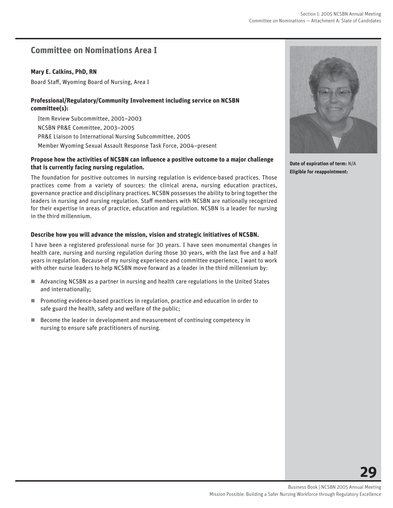## **Committee on Nominations Area I**

## **Mary E. Calkins, PhD, RN**

Board Staff, Wyoming Board of Nursing, Area I

## **Professional/Regulatory/Community Involvement including service on NCSBN committee(s):**

Item Review Subcommittee, 2001–2003 NCSBN PR&E Committee, 2003–2005 PR&E Liaison to International Nursing Subcommittee, 2005 Member Wyoming Sexual Assault Response Task Force, 2004–present

## Propose how the activities of NCSBN can influence a positive outcome to a major challenge **that is currently facing nursing regulation.**

The foundation for positive outcomes in nursing regulation is evidence-based practices. Those practices come from a variety of sources: the clinical arena, nursing education practices, governance practice and disciplinary practices. NCSBN possesses the ability to bring together the leaders in nursing and nursing regulation. Staff members with NCSBN are nationally recognized for their expertise in areas of practice, education and regulation. NCSBN is a leader for nursing in the third millennium.

## **Describe how you will advance the mission, vision and strategic initiatives of NCSBN.**

I have been a registered professional nurse for 30 years. I have seen monumental changes in health care, nursing and nursing regulation during those 30 years, with the last five and a half years in regulation. Because of my nursing experience and committee experience, I want to work with other nurse leaders to help NCSBN move forward as a leader in the third millennium by:

- Advancing NCSBN as a partner in nursing and health care regulations in the United States and internationally;
- **Promoting evidence-based practices in regulation, practice and education in order to** safe guard the health, safety and welfare of the public;
- - Become the leader in development and measurement of continuing competency in nursing to ensure safe practitioners of nursing.



**Date of expiration of term:** N/A **Eligible for reappointment:**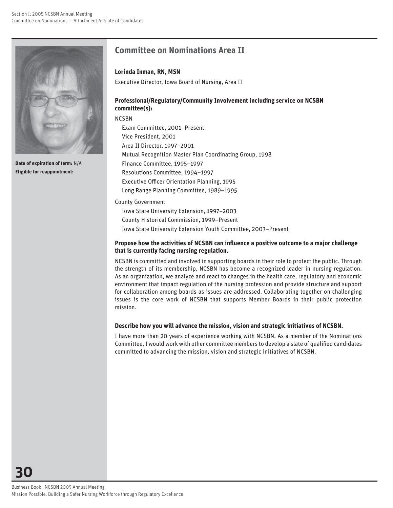

**Date of expiration of term:** N/A **Eligible for reappointment:**

## **Committee on Nominations Area II**

## **Lorinda Inman, RN, MSN**

Executive Director, Iowa Board of Nursing, Area II

## **Professional/Regulatory/Community Involvement including service on NCSBN committee(s):**

NCSBN

Exam Committee, 2001–Present Vice President, 2001 Area II Director, 1997–2001 Mutual Recognition Master Plan Coordinating Group, 1998 Finance Committee, 1995–1997 Resolutions Committee, 1994–1997 Executive Officer Orientation Planning, 1995 Long Range Planning Committee, 1989–1995

County Government

Iowa State University Extension, 1997–2003 County Historical Commission, 1999–Present Iowa State University Extension Youth Committee, 2003–Present

## Propose how the activities of NCSBN can influence a positive outcome to a major challenge **that is currently facing nursing regulation.**

NCSBN is committed and involved in supporting boards in their role to protect the public. Through the strength of its membership, NCSBN has become a recognized leader in nursing regulation. As an organization, we analyze and react to changes in the health care, regulatory and economic environment that impact regulation of the nursing profession and provide structure and support for collaboration among boards as issues are addressed. Collaborating together on challenging issues is the core work of NCSBN that supports Member Boards in their public protection mission.

## **Describe how you will advance the mission, vision and strategic initiatives of NCSBN.**

I have more than 20 years of experience working with NCSBN. As a member of the Nominations Committee, I would work with other committee members to develop a slate of qualified candidates committed to advancing the mission, vision and strategic initiatives of NCSBN.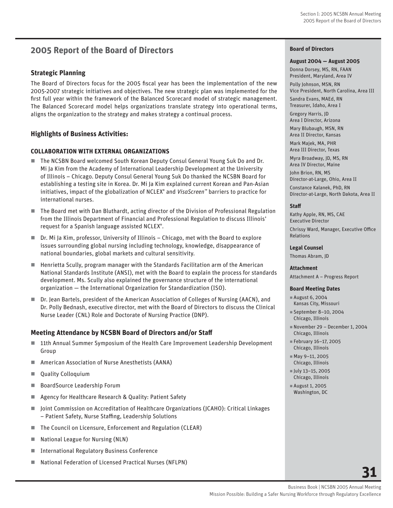## <span id="page-31-0"></span>**2005 Report of the Board of Directors**

## **Strategic Planning**

The Board of Directors focus for the 2005 fiscal year has been the implementation of the new 2005-2007 strategic initiatives and objectives. The new strategic plan was implemented for the first full year within the framework of the Balanced Scorecard model of strategic management. The Balanced Scorecard model helps organizations translate strategy into operational terms, aligns the organization to the strategy and makes strategy a continual process.

## **Highlights of Business Activities:**

## **COLLABORATION WITH EXTERNAL ORGANIZATIONS**

- - The NCSBN Board welcomed South Korean Deputy Consul General Young Suk Do and Dr. Mi Ja Kim from the Academy of International Leadership Development at the University of Illinois – Chicago. Deputy Consul General Young Suk Do thanked the NCSBN Board for establishing a testing site in Korea. Dr. Mi Ja Kim explained current Korean and Pan-Asian initiatives, impact of the globalization of NCLEX® and *VisaScreen™* barriers to practice for international nurses.
- The Board met with Dan Bluthardt, acting director of the Division of Professional Regulation from the Illinois Department of Financial and Professional Regulation to discuss Illinois' request for a Spanish language assisted NCLEX® .
- - Dr. Mi Ja Kim, professor, University of Illinois – Chicago, met with the Board to explore issues surrounding global nursing including technology, knowledge, disappearance of national boundaries, global markets and cultural sensitivity.
- - Henrietta Scully, program manager with the Standards Facilitation arm of the American National Standards Institute (ANSI), met with the Board to explain the process for standards development. Ms. Scully also explained the governance structure of the international organization — the International Organization for Standardization (ISO).
- - Dr. Jean Bartels, president of the American Association of Colleges of Nursing (AACN), and Dr. Polly Bednash, executive director, met with the Board of Directors to discuss the Clinical Nurse Leader (CNL) Role and Doctorate of Nursing Practice (DNP).

## **Meeting Attendance by NCSBN Board of Directors and/or Staff**

- 11th Annual Summer Symposium of the Health Care Improvement Leadership Development Group
- **American Association of Nurse Anesthetists (AANA)**
- -Quality Colloquium
- -BoardSource Leadership Forum
- -Agency for Healthcare Research & Quality: Patient Safety
- Joint Commission on Accreditation of Healthcare Organizations (JCAHO): Critical Linkages - Patient Safety, Nurse Staffing, Leadership Solutions
- $\blacksquare$  The Council on Licensure, Enforcement and Regulation (CLEAR)
- -National League for Nursing (NLN)
- -International Regulatory Business Conference
- -National Federation of Licensed Practical Nurses (NFLPN)

#### **Board of Directors**

#### **August 2004 — August 2005**

Donna Dorsey, MS, RN, FAAN President, Maryland, Area IV Polly Johnson, MSN, RN Vice President, North Carolina, Area III

Sandra Evans, MAEd, RN Treasurer, Idaho, Area I

Gregory Harris, JD Area I Director, Arizona Mary Blubaugh, MSN, RN Area II Director, Kansas

Mark Majek, MA, PHR Area III Director, Texas

Myra Broadway, JD, MS, RN Area IV Director, Maine

John Brion, RN, MS Director-at-Large, Ohio, Area II

Constance Kalanek, PhD, RN Director-at-Large, North Dakota, Area II

#### **Staff**

Kathy Apple, RN, MS, CAE Executive Director Chrissy Ward, Manager, Executive Office Relations

#### **Legal Counsel**

Thomas Abram, JD

#### **Attachment**

Attachment A – Progress Report

#### **Board Meeting Dates**

- August 6, 2004 Kansas City, Missouri
- September 8–10, 2004 Chicago, Illinois
- November 29 December 1, 2004 Chicago, Illinois
- February 16–17, 2005 Chicago, Illinois
- $May 9-11, 2005$ Chicago, Illinois
- July 13–15, 2005 Chicago, Illinois
- August 1, 2005 Washington, DC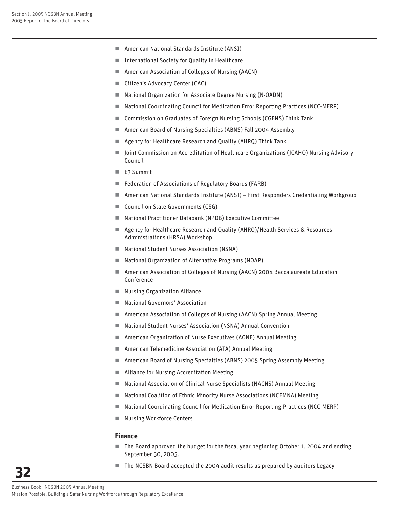- American National Standards Institute (ANSI)
- International Society for Quality in Healthcare
- -American Association of Colleges of Nursing (AACN)
- Citizen's Advocacy Center (CAC)
- -National Organization for Associate Degree Nursing (N-OADN)
- -National Coordinating Council for Medication Error Reporting Practices (NCC-MERP)
- -Commission on Graduates of Foreign Nursing Schools (CGFNS) Think Tank
- American Board of Nursing Specialties (ABNS) Fall 2004 Assembly
- **E** Agency for Healthcare Research and Quality (AHRQ) Think Tank
- Joint Commission on Accreditation of Healthcare Organizations (JCAHO) Nursing Advisory Council
- E3 Summit
- Federation of Associations of Regulatory Boards (FARB)
- American National Standards Institute (ANSI) First Responders Credentialing Workgroup
- Council on State Governments (CSG)
- -National Practitioner Databank (NPDB) Executive Committee
- Agency for Healthcare Research and Quality (AHRQ)/Health Services & Resources Administrations (HRSA) Workshop
- -National Student Nurses Association (NSNA)
- -National Organization of Alternative Programs (NOAP)
- American Association of Colleges of Nursing (AACN) 2004 Baccalaureate Education Conference
- **Nursing Organization Alliance**
- -National Governors' Association
- American Association of Colleges of Nursing (AACN) Spring Annual Meeting
- -National Student Nurses' Association (NSNA) Annual Convention
- **E** American Organization of Nurse Executives (AONE) Annual Meeting
- **E** American Telemedicine Association (ATA) Annual Meeting
- American Board of Nursing Specialties (ABNS) 2005 Spring Assembly Meeting
- Alliance for Nursing Accreditation Meeting
- -National Association of Clinical Nurse Specialists (NACNS) Annual Meeting
- -National Coalition of Ethnic Minority Nurse Associations (NCEMNA) Meeting
- -National Coordinating Council for Medication Error Reporting Practices (NCC-MERP)
- -Nursing Workforce Centers

## **Finance**

- Ine Board approved the budget for the fiscal year beginning October 1, 2004 and ending September 30, 2005.
- The NCSBN Board accepted the 2004 audit results as prepared by auditors Legacy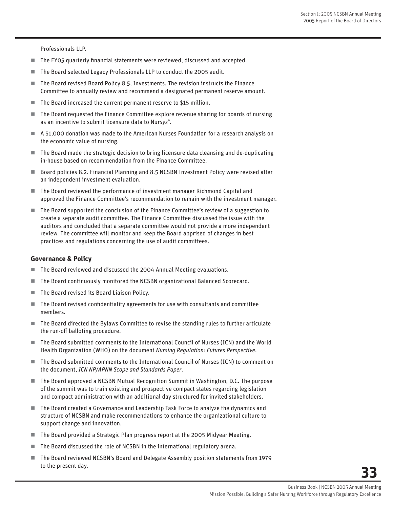Professionals LLP.

- The FY05 quarterly financial statements were reviewed, discussed and accepted.
- -The Board selected Legacy Professionals LLP to conduct the 2005 audit.
- - The Board revised Board Policy 8.5, Investments. The revision instructs the Finance Committee to annually review and recommend a designated permanent reserve amount.
- The Board increased the current permanent reserve to \$15 million.
- - The Board requested the Finance Committee explore revenue sharing for boards of nursing as an incentive to submit licensure data to Nur*sys*® .
- A \$1,000 donation was made to the American Nurses Foundation for a research analysis on the economic value of nursing.
- $\blacksquare$  The Board made the strategic decision to bring licensure data cleansing and de-duplicating in-house based on recommendation from the Finance Committee.
- Board policies 8.2. Financial Planning and 8.5 NCSBN Investment Policy were revised after an independent investment evaluation.
- The Board reviewed the performance of investment manager Richmond Capital and approved the Finance Committee's recommendation to remain with the investment manager.
- - The Board supported the conclusion of the Finance Committee's review of a suggestion to create a separate audit committee. The Finance Committee discussed the issue with the auditors and concluded that a separate committee would not provide a more independent review. The committee will monitor and keep the Board apprised of changes in best practices and regulations concerning the use of audit committees.

## **Governance & Policy**

- -The Board reviewed and discussed the 2004 Annual Meeting evaluations.
- **The Board continuously monitored the NCSBN organizational Balanced Scorecard.**
- The Board revised its Board Liaison Policy.
- $\blacksquare$  The Board revised confidentiality agreements for use with consultants and committee members.
- The Board directed the Bylaws Committee to revise the standing rules to further articulate the run-off balloting procedure.
- The Board submitted comments to the International Council of Nurses (ICN) and the World Health Organization (WHO) on the document *Nursing Regulation: Futures Perspective*.
- The Board submitted comments to the International Council of Nurses (ICN) to comment on the document, *ICN NP/APNN Scope and Standards Paper*.
- - The Board approved a NCSBN Mutual Recognition Summit in Washington, D.C. The purpose of the summit was to train existing and prospective compact states regarding legislation and compact administration with an additional day structured for invited stakeholders.
- **The Board created a Governance and Leadership Task Force to analyze the dynamics and** structure of NCSBN and make recommendations to enhance the organizational culture to support change and innovation.
- The Board provided a Strategic Plan progress report at the 2005 Midyear Meeting.
- **The Board discussed the role of NCSBN in the international regulatory arena.**
- - The Board reviewed NCSBN's Board and Delegate Assembly position statements from 1979 to the present day.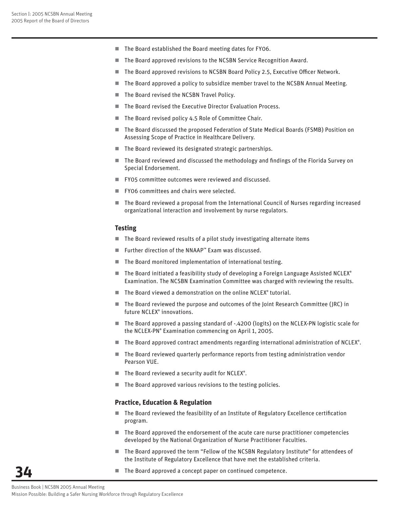- The Board established the Board meeting dates for FY06.
- The Board approved revisions to the NCSBN Service Recognition Award.
- The Board approved revisions to NCSBN Board Policy 2.5, Executive Officer Network.
- The Board approved a policy to subsidize member travel to the NCSBN Annual Meeting.
- The Board revised the NCSBN Travel Policy.
- -The Board revised the Executive Director Evaluation Process.
- The Board revised policy 4.5 Role of Committee Chair.
- The Board discussed the proposed Federation of State Medical Boards (FSMB) Position on Assessing Scope of Practice in Healthcare Delivery.
- $\blacksquare$  The Board reviewed its designated strategic partnerships.
- $\blacksquare$  The Board reviewed and discussed the methodology and findings of the Florida Survey on Special Endorsement.
- **FY05 committee outcomes were reviewed and discussed.**
- **FY06 committees and chairs were selected.**
- The Board reviewed a proposal from the International Council of Nurses regarding increased organizational interaction and involvement by nurse regulators.

#### **Testing**

- The Board reviewed results of a pilot study investigating alternate items
- Further direction of the NNAAP<sup>™</sup> Exam was discussed.
- $\blacksquare$  The Board monitored implementation of international testing.
- The Board initiated a feasibility study of developing a Foreign Language Assisted NCLEX® Examination. The NCSBN Examination Committee was charged with reviewing the results.
- The Board viewed a demonstration on the online NCLEX<sup>®</sup> tutorial.
- The Board reviewed the purpose and outcomes of the Joint Research Committee (JRC) in future NCLEX® innovations.
- The Board approved a passing standard of -.4200 (logits) on the NCLEX-PN logistic scale for the NCLEX-PN® Examination commencing on April 1, 2005.
- The Board approved contract amendments regarding international administration of NCLEX<sup>®</sup>.
- The Board reviewed quarterly performance reports from testing administration vendor Pearson VUE.
- The Board reviewed a security audit for NCLEX®.
- **The Board approved various revisions to the testing policies.**

#### **Practice, Education & Regulation**

- $\blacksquare$  The Board reviewed the feasibility of an Institute of Regulatory Excellence certification program.
- The Board approved the endorsement of the acute care nurse practitioner competencies developed by the National Organization of Nurse Practitioner Faculties.
- The Board approved the term "Fellow of the NCSBN Regulatory Institute" for attendees of the Institute of Regulatory Excellence that have met the established criteria.
- The Board approved a concept paper on continued competence.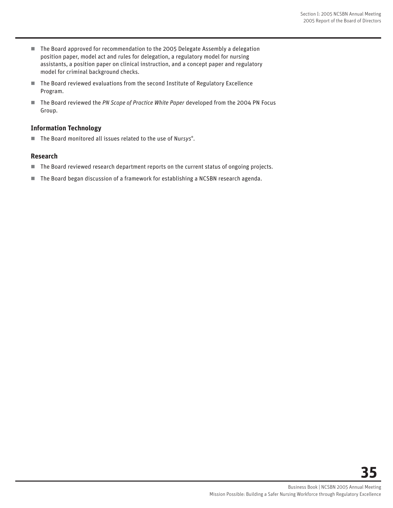- The Board approved for recommendation to the 2005 Delegate Assembly a delegation position paper, model act and rules for delegation, a regulatory model for nursing assistants, a position paper on clinical instruction, and a concept paper and regulatory model for criminal background checks.
- The Board reviewed evaluations from the second Institute of Regulatory Excellence Program.
- The Board reviewed the *PN Scope of Practice White Paper* developed from the 2004 PN Focus Group.

## **Information Technology**

■ The Board monitored all issues related to the use of Nursys®.

## **Research**

- The Board reviewed research department reports on the current status of ongoing projects.
- The Board began discussion of a framework for establishing a NCSBN research agenda.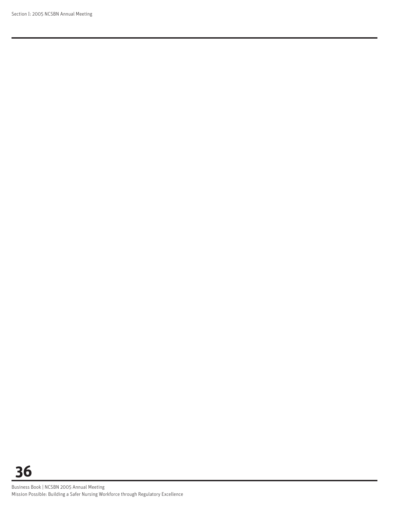Section I: 2005 NCSBN Annual Meeting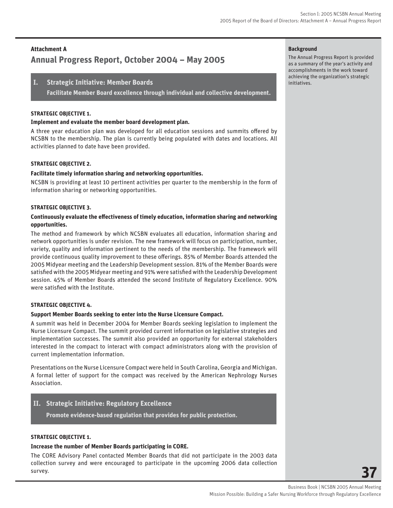**Background**

## <span id="page-37-0"></span>**Attachment A Annual Progress Report, October 2004 – May 2005**

## **I. Strategic Initiative: Member Boards**

**Facilitate Member Board excellence through individual and collective development.**

#### **STRATEGIC OBJECTIVE 1.**

#### **Implement and evaluate the member board development plan.**

A three year education plan was developed for all education sessions and summits offered by NCSBN to the membership. The plan is currently being populated with dates and locations. All activities planned to date have been provided.

#### **STRATEGIC OBJECTIVE 2.**

#### **Facilitate timely information sharing and networking opportunities.**

NCSBN is providing at least 10 pertinent activities per quarter to the membership in the form of information sharing or networking opportunities.

#### **STRATEGIC OBJECTIVE 3.**

## Continuously evaluate the effectiveness of timely education, information sharing and networking **opportunities.**

The method and framework by which NCSBN evaluates all education, information sharing and network opportunities is under revision. The new framework will focus on participation, number, variety, quality and information pertinent to the needs of the membership. The framework will provide continuous quality improvement to these offerings. 85% of Member Boards attended the 2005 Midyear meeting and the Leadership Development session. 81% of the Member Boards were satisfied with the 2005 Midyear meeting and 91% were satisfied with the Leadership Development session. 45% of Member Boards attended the second Institute of Regulatory Excellence. 90% were satisfied with the Institute.

## **STRATEGIC OBJECTIVE 4.**

## **Support Member Boards seeking to enter into the Nurse Licensure Compact.**

A summit was held in December 2004 for Member Boards seeking legislation to implement the Nurse Licensure Compact. The summit provided current information on legislative strategies and implementation successes. The summit also provided an opportunity for external stakeholders interested in the compact to interact with compact administrators along with the provision of current implementation information.

Presentations on the Nurse Licensure Compact were held in South Carolina, Georgia and Michigan. A formal letter of support for the compact was received by the American Nephrology Nurses Association.

## **II. Strategic Initiative: Regulatory Excellence**

**Promote evidence-based regulation that provides for public protection.**

#### **STRATEGIC OBJECTIVE 1.**

#### **Increase the number of Member Boards participating in CORE.**

The CORE Advisory Panel contacted Member Boards that did not participate in the 2003 data collection survey and were encouraged to participate in the upcoming 2006 data collection survey.

The Annual Progress Report is provided as a summary of the year's activity and accomplishments in the work toward achieving the organization's strategic initiatives.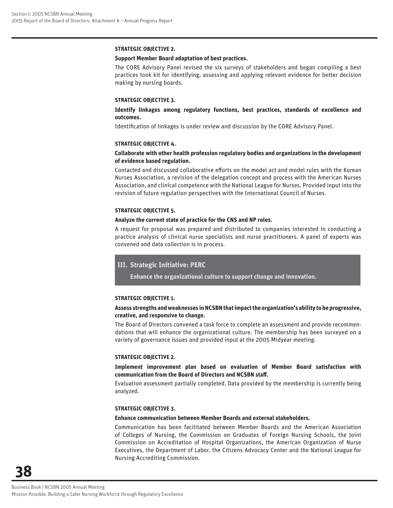#### **STRATEGIC OBJECTIVE 2.**

#### **Support Member Board adaptation of best practices.**

The CORE Advisory Panel revised the six surveys of stakeholders and began compiling a best practices took kit for identifying, assessing and applying relevant evidence for better decision making by nursing boards.

#### **STRATEGIC OBJECTIVE 3.**

## **Identify linkages among regulatory functions, best practices, standards of excellence and outcomes.**

Identification of linkages is under review and discussion by the CORE Advisory Panel.

#### **STRATEGIC OBJECTIVE 4.**

## **Collaborate with other health profession regulatory bodies and organizations in the development of evidence based regulation.**

Contacted and discussed collaborative efforts on the model act and model rules with the Korean Nurses Association, a revision of the delegation concept and process with the American Nurses Association, and clinical competence with the National League for Nurses. Provided input into the revision of future regulation perspectives with the International Council of Nurses.

#### **STRATEGIC OBJECTIVE 5.**

#### **Analyze the current state of practice for the CNS and NP roles.**

A request for proposal was prepared and distributed to companies interested in conducting a practice analysis of clinical nurse specialists and nurse practitioners. A panel of experts was convened and data collection is in process.

## **III. Strategic Initiative: PERC**

**Enhance the organizational culture to support change and innovation.**

#### **STRATEGIC OBJECTIVE 1.**

## **Assess strengths and weaknesses in NCSBN that impact the organization's ability to be progressive, creative, and responsive to change.**

The Board of Directors convened a task force to complete an assessment and provide recommendations that will enhance the organizational culture. The membership has been surveyed on a variety of governance issues and provided input at the 2005 Midyear meeting.

## **STRATEGIC OBJECTIVE 2.**

## **Implement improvement plan based on evaluation of Member Board satisfaction with communication from the Board of Directors and NCSBN staff .**

Evaluation assessment partially completed. Data provided by the membership is currently being analyzed.

#### **STRATEGIC OBJECTIVE 3.**

#### **Enhance communication between Member Boards and external stakeholders.**

Communication has been facilitated between Member Boards and the American Association of Colleges of Nursing, the Commission on Graduates of Foreign Nursing Schools, the Joint Commission on Accreditation of Hospital Organizations, the American Organization of Nurse Executives, the Department of Labor, the Citizens Advocacy Center and the National League for Nursing Accrediting Commission.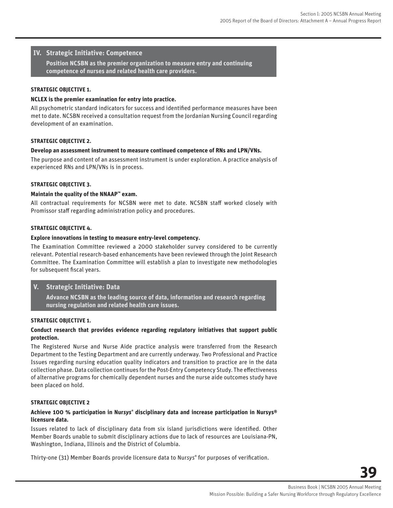## **IV. Strategic Initiative: Competence**

**Position NCSBN as the premier organization to measure entry and continuing competence of nurses and related health care providers.**

#### **STRATEGIC OBJECTIVE 1.**

#### **NCLEX is the premier examination for entry into practice.**

All psychometric standard indicators for success and identified performance measures have been met to date. NCSBN received a consultation request from the Jordanian Nursing Council regarding development of an examination.

## **STRATEGIC OBJECTIVE 2.**

#### **Develop an assessment instrument to measure continued competence of RNs and LPN/VNs.**

The purpose and content of an assessment instrument is under exploration. A practice analysis of experienced RNs and LPN/VNs is in process.

#### **STRATEGIC OBJECTIVE 3.**

#### **Maintain the quality of the NNAAP™ exam.**

All contractual requirements for NCSBN were met to date. NCSBN staff worked closely with Promissor staff regarding administration policy and procedures.

#### **STRATEGIC OBJECTIVE 4.**

#### **Explore innovations in testing to measure entry-level competency.**

The Examination Committee reviewed a 2000 stakeholder survey considered to be currently relevant. Potential research-based enhancements have been reviewed through the Joint Research Committee. The Examination Committee will establish a plan to investigate new methodologies for subsequent fiscal years.

## **V. Strategic Initiative: Data**

**Advance NCSBN as the leading source of data, information and research regarding nursing regulation and related health care issues.**

#### **STRATEGIC OBJECTIVE 1.**

## **Conduct research that provides evidence regarding regulatory initiatives that support public protection.**

The Registered Nurse and Nurse Aide practice analysis were transferred from the Research Department to the Testing Department and are currently underway. Two Professional and Practice Issues regarding nursing education quality indicators and transition to practice are in the data collection phase. Data collection continues for the Post-Entry Competency Study. The effectiveness of alternative programs for chemically dependent nurses and the nurse aide outcomes study have been placed on hold.

## **STRATEGIC OBJECTIVE 2**

## **Achieve 100 % participation in Nur***sys***® disciplinary data and increase participation in Nursys® licensure data.**

Issues related to lack of disciplinary data from six island jurisdictions were identified. Other Member Boards unable to submit disciplinary actions due to lack of resources are Louisiana-PN, Washington, Indiana, Illinois and the District of Columbia.

Thirty-one (31) Member Boards provide licensure data to Nurs*ys*® for purposes of verification.